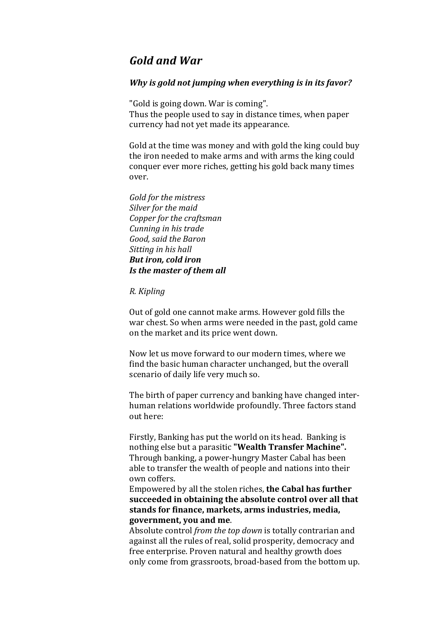# *Gold%and%War*

## *Why is gold not jumping when everything is in its favor?*

"Gold is going down. War is coming". Thus the people used to say in distance times, when paper currency had not yet made its appearance.

Gold at the time was money and with gold the king could buy the iron needed to make arms and with arms the king could conquer ever more riches, getting his gold back many times over.

*Gold%for%the%mistress* Silver for the maid *Copper for the craftsman Cunning%in%his%trade Good,%said%the%Baron Sitting in his hall But iron, cold iron Is the master of them all* 

#### *R.%Kipling*

Out of gold one cannot make arms. However gold fills the war chest. So when arms were needed in the past, gold came on the market and its price went down.

Now let us move forward to our modern times, where we find the basic human character unchanged, but the overall scenario of daily life very much so.

The birth of paper currency and banking have changed interhuman relations worldwide profoundly. Three factors stand out here:

Firstly, Banking has put the world on its head. Banking is nothing else but a parasitic "Wealth Transfer Machine". Through banking, a power-hungry Master Cabal has been able to transfer the wealth of people and nations into their own coffers.

Empowered by all the stolen riches, the Cabal has further **succeeded in obtaining the absolute control over all that** stands for finance, markets, arms industries, media, government, you and me.

Absolute control *from the top down* is totally contrarian and against all the rules of real, solid prosperity, democracy and free enterprise. Proven natural and healthy growth does only come from grassroots, broad-based from the bottom up.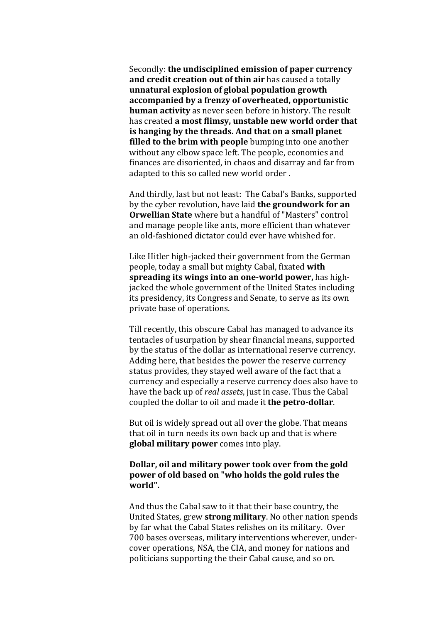Secondly: **the undisciplined emission of paper currency** and credit creation out of thin air has caused a totally **unnatural explosion of global population growth accompanied by a frenzy of overheated, opportunistic human activity** as never seen before in history. The result has created a most flimsy, unstable new world order that **is hanging by the threads. And that on a small planet filled to the brim with people** bumping into one another without any elbow space left. The people, economies and finances are disoriented, in chaos and disarray and far from adapted to this so called new world order.

And thirdly, last but not least: The Cabal's Banks, supported by the cyber revolution, have laid **the groundwork for an Orwellian State** where but a handful of "Masters" control and manage people like ants, more efficient than whatever an old-fashioned dictator could ever have whished for.

Like Hitler high-jacked their government from the German people, today a small but mighty Cabal, fixated with **spreading its wings into an one-world power, has high**jacked the whole government of the United States including its presidency, its Congress and Senate, to serve as its own private base of operations.

Till recently, this obscure Cabal has managed to advance its tentacles of usurpation by shear financial means, supported by the status of the dollar as international reserve currency. Adding here, that besides the power the reserve currency status provides, they stayed well aware of the fact that a currency and especially a reserve currency does also have to have the back up of *real assets*, just in case. Thus the Cabal coupled the dollar to oil and made it **the petro-dollar**.

But oil is widely spread out all over the globe. That means that oil in turn needs its own back up and that is where **global military power** comes into play.

## **Dollar, oil and military power took over from the gold power** of old based on "who holds the gold rules the **world".**

And thus the Cabal saw to it that their base country, the United States, grew **strong military**. No other nation spends by far what the Cabal States relishes on its military. Over 700 bases overseas, military interventions wherever, undercover operations, NSA, the CIA, and money for nations and politicians supporting the their Cabal cause, and so on.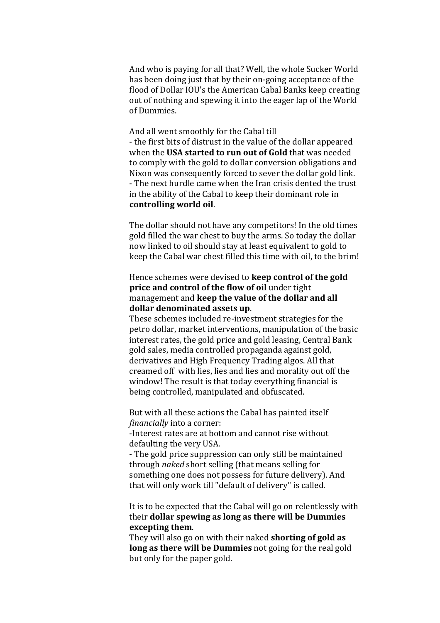And who is paying for all that? Well, the whole Sucker World has been doing just that by their on-going acceptance of the flood of Dollar IOU's the American Cabal Banks keep creating out of nothing and spewing it into the eager lap of the World of Dummies.

And all went smoothly for the Cabal till - the first bits of distrust in the value of the dollar appeared when the **USA started to run out of Gold** that was needed to comply with the gold to dollar conversion obligations and Nixon was consequently forced to sever the dollar gold link. - The next hurdle came when the Iran crisis dented the trust in the ability of the Cabal to keep their dominant role in controlling world oil.

The dollar should not have any competitors! In the old times gold filled the war chest to buy the arms. So today the dollar now linked to oil should stay at least equivalent to gold to keep the Cabal war chest filled this time with oil, to the brim!

## Hence schemes were devised to **keep control of the gold price and control of the flow of oil** under tight management and **keep the value of the dollar and all** dollar denominated assets up.

These schemes included re-investment strategies for the petro dollar, market interventions, manipulation of the basic interest rates, the gold price and gold leasing, Central Bank gold sales, media controlled propaganda against gold, derivatives and High Frequency Trading algos. All that creamed off with lies, lies and lies and morality out off the window! The result is that today everything financial is being controlled, manipulated and obfuscated.

But with all these actions the Cabal has painted itself *financially* into a corner:

-Interest rates are at bottom and cannot rise without defaulting the very USA.

- The gold price suppression can only still be maintained through *naked* short selling (that means selling for something one does not possess for future delivery). And that will only work till "default of delivery" is called.

It is to be expected that the Cabal will go on relentlessly with their **dollar spewing as long as there will be Dummies excepting them.** 

They will also go on with their naked **shorting of gold as long as there will be Dummies** not going for the real gold but only for the paper gold.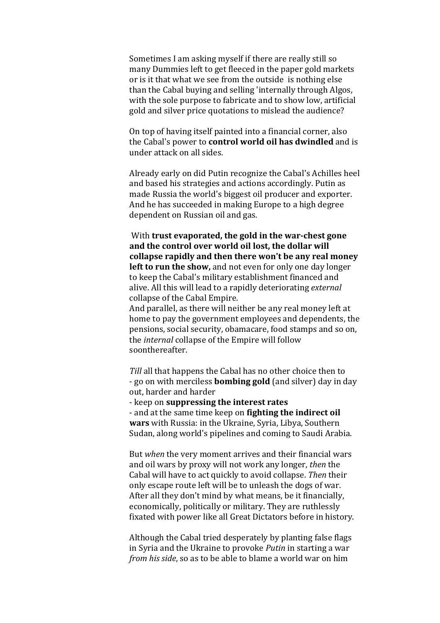Sometimes I am asking myself if there are really still so many Dummies left to get fleeced in the paper gold markets or is it that what we see from the outside is nothing else than the Cabal buying and selling 'internally through Algos, with the sole purpose to fabricate and to show low, artificial gold and silver price quotations to mislead the audience?

On top of having itself painted into a financial corner, also the Cabal's power to **control world oil has dwindled** and is under attack on all sides.

Already early on did Putin recognize the Cabal's Achilles heel and based his strategies and actions accordingly. Putin as made Russia the world's biggest oil producer and exporter. And he has succeeded in making Europe to a high degree dependent on Russian oil and gas.

With **trust evaporated, the gold in the war-chest gone and the control over world oil lost, the dollar will collapse rapidly and then there won't be any real money left to run the show,** and not even for only one day longer to keep the Cabal's military establishment financed and alive. All this will lead to a rapidly deteriorating *external* collapse of the Cabal Empire.

And parallel, as there will neither be any real money left at home to pay the government employees and dependents, the pensions, social security, obamacare, food stamps and so on, the *internal* collapse of the Empire will follow soonthereafter.

*Till* all that happens the Cabal has no other choice then to - go on with merciless **bombing gold** (and silver) day in day out, harder and harder

- keep on **suppressing** the interest rates

- and at the same time keep on **fighting the indirect oil wars** with Russia: in the Ukraine, Syria, Libya, Southern Sudan, along world's pipelines and coming to Saudi Arabia.

But *when* the very moment arrives and their financial wars and oil wars by proxy will not work any longer, *then* the Cabal will have to act quickly to avoid collapse. *Then* their only escape route left will be to unleash the dogs of war. After all they don't mind by what means, be it financially, economically, politically or military. They are ruthlessly fixated with power like all Great Dictators before in history.

Although the Cabal tried desperately by planting false flags in Syria and the Ukraine to provoke *Putin* in starting a war *from his side*, so as to be able to blame a world war on him